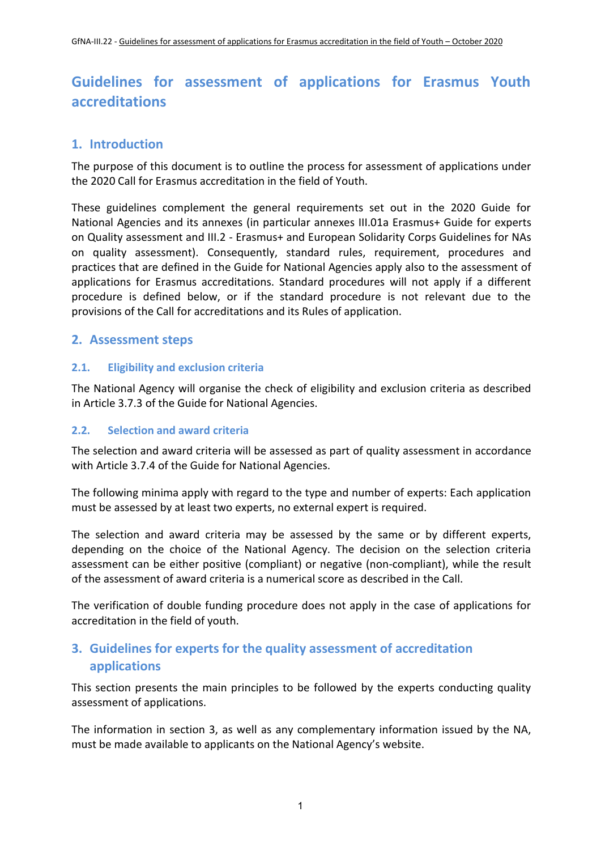# **Guidelines for assessment of applications for Erasmus Youth accreditations**

# **1. Introduction**

The purpose of this document is to outline the process for assessment of applications under the 2020 Call for Erasmus accreditation in the field of Youth.

These guidelines complement the general requirements set out in the 2020 Guide for National Agencies and its annexes (in particular annexes III.01a Erasmus+ Guide for experts on Quality assessment and III.2 - Erasmus+ and European Solidarity Corps Guidelines for NAs on quality assessment). Consequently, standard rules, requirement, procedures and practices that are defined in the Guide for National Agencies apply also to the assessment of applications for Erasmus accreditations. Standard procedures will not apply if a different procedure is defined below, or if the standard procedure is notrelevant due to the provisions of the Call for accreditations and its Rules of application.

## **2. Assessment steps**

## **2.1. Eligibility and exclusion criteria**

The National Agency will organise the check of eligibility and exclusion criteria as described in Article 3.7.3 of the Guide for National Agencies.

#### **2.2. Selection and award criteria**

The selection and award criteria will be assessed as part of quality assessment in accordance with Article 3.7.4 of the Guide for National Agencies.

The following minima apply with regard to the type and number of experts: Each application must be assessed by at least two experts, no external expert is required.

The selection and award criteria may be assessed by the same or by different experts, depending on the choice of the National Agency. The decision on the selection criteria assessment can be either positive (compliant) or negative (non-compliant), while the result of the assessment of award criteria is a numerical score as described in the Call.

The verification of double funding procedure does not apply in the case of applications for accreditation in the field of youth.

# **3. Guidelines for experts for the quality assessment of accreditation applications**

This section presents the main principles to be followed by the experts conducting quality assessment of applications.

The information in section 3, as well as any complementary information issued by the NA, must be made available to applicants on the National Agency's website.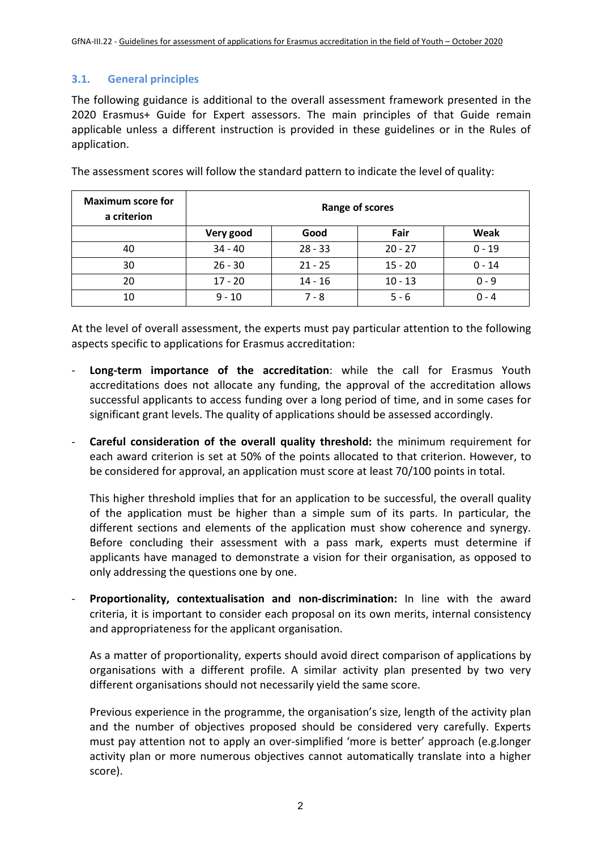## **3.1. General principles**

The following guidance is additional to the overall assessment framework presented in the 2020 Erasmus+ Guide for Expert assessors. The main principles of that Guide remain applicable unless a different instruction is provided in these guidelines or in the Rules of application.

| <b>Maximum score for</b><br>a criterion | Range of scores |           |           |          |
|-----------------------------------------|-----------------|-----------|-----------|----------|
|                                         | Very good       | Good      | Fair      | Weak     |
| 40                                      | $34 - 40$       | $28 - 33$ | $20 - 27$ | $0 - 19$ |
| 30                                      | $26 - 30$       | $21 - 25$ | $15 - 20$ | $0 - 14$ |
| 20                                      | $17 - 20$       | $14 - 16$ | $10 - 13$ | $0 - 9$  |
| 10                                      | $9 - 10$        | 7 - 8     | $5 - 6$   | $0 - 4$  |

The assessment scores will follow the standard pattern to indicate the level of quality:

At the level of overall assessment, the experts must pay particular attention to the following aspects specific to applications for Erasmus accreditation:

- **Long-term importance of the accreditation**: while the call for Erasmus Youth accreditations does not allocate any funding, the approval of the accreditation allows successful applicants to access funding over a long period of time, and in some cases for significant grant levels. The quality of applications should be assessed accordingly.
- **Careful consideration of the overall quality threshold:** the minimum requirement for each award criterion is set at 50% of the points allocated to that criterion. However, to be considered for approval, an application must score at least 70/100 points in total.

This higher threshold implies that for an application to be successful, the overall quality of the application must be higher than asimple sum of its parts. In particular, the different sections and elements of the application must show coherence and synergy. Before concluding their assessment with a pass mark, experts must determine if applicants have managed to demonstrate a vision for their organisation, as opposed to only addressing the questions one by one.

- **Proportionality, contextualisation and non-discrimination:** In line with the award criteria, it is important to consider each proposal on its own merits, internal consistency and appropriateness for the applicant organisation.

As a matter of proportionality, experts should avoid direct comparison of applications by organisations with a different profile. A similar activity plan presented by two very different organisations should not necessarily yield the same score.

Previous experience in the programme, the organisation's size, length of the activity plan and the number of objectives proposed should be considered very carefully. Experts must pay attention not to apply an over-simplified 'more is better' approach (e.g.longer activity plan or more numerous objectives cannot automatically translate into a higher score).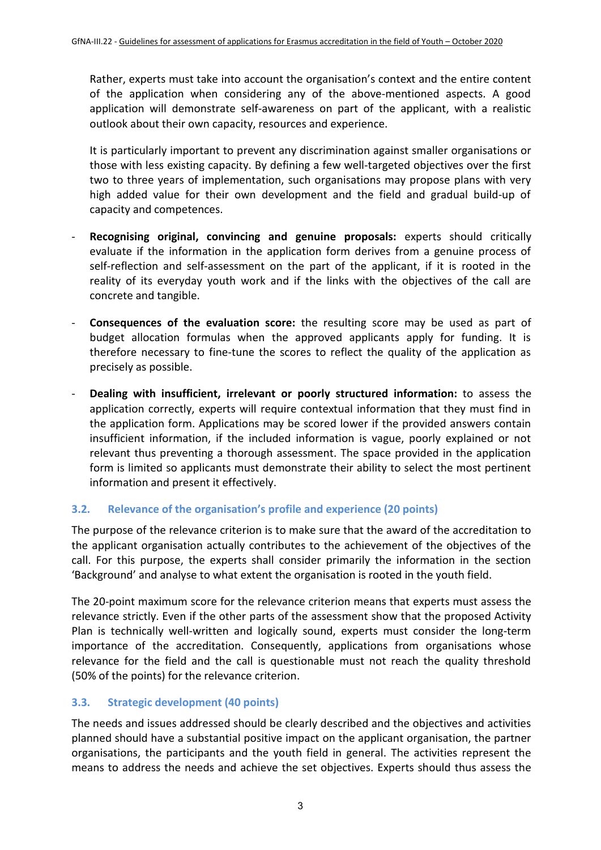Rather, experts must take into account the organisation's context and the entire content of the application when considering any of the above-mentioned aspects. A good application will demonstrate self-awareness on part of the applicant, with a realistic outlook about their own capacity, resources and experience.

It is particularly important to prevent any discrimination against smaller organisations or those with less existing capacity. By defining a few well-targeted objectives over the first two to three years of implementation, such organisations may propose plans with very high added value for their own development and the field and gradual build-up of capacity and competences.

- **Recognising original, convincing and genuine proposals:** experts should critically evaluate if the information in the application form derives from a genuine process of self-reflection and self-assessment on the part of the applicant, if it is rooted in the reality of its everyday youth work and if the links with the objectives of the call are concrete and tangible.
- **Consequences of the evaluation score:** the resulting score may be used as part of budget allocation formulas when the approved applicants apply for funding. It is therefore necessary to fine-tune the scores to reflect the quality of the application as precisely as possible.
- **Dealing with insufficient, irrelevant or poorly structured information:** to assess the application correctly, experts will require contextual information that they must find in the application form. Applications may be scored lower if the provided answers contain insufficient information, if the included information is vague, poorly explained or not relevant thus preventing a thorough assessment. The space provided in the application form is limited so applicants must demonstrate their ability to select the most pertinent information and present it effectively.

## **3.2. Relevance of the organisation's profile and experience (20 points)**

The purpose of the relevance criterion is to make sure that the award of the accreditation to the applicant organisation actually contributes to the achievement of the objectives of the call. For this purpose, the experts shall consider primarily the information in the section 'Background' and analyse to what extent the organisation is rooted in the youth field.

The 20-point maximum score for the relevance criterion means that experts must assess the relevance strictly. Even if the other parts of the assessment show that the proposed Activity Plan is technically well-written and logically sound, experts must consider the long-term importance of the accreditation. Consequently, applications from organisations whose relevance for the field and the call is questionable must not reach the quality threshold (50% of the points) for the relevance criterion.

## **3.3. Strategic development (40 points)**

The needs and issues addressed should be clearly described and the objectives and activities planned should have a substantial positive impact on the applicant organisation, the partner organisations, the participants and the youth field in general. The activities represent the means to address the needs and achieve the set objectives. Experts should thus assess the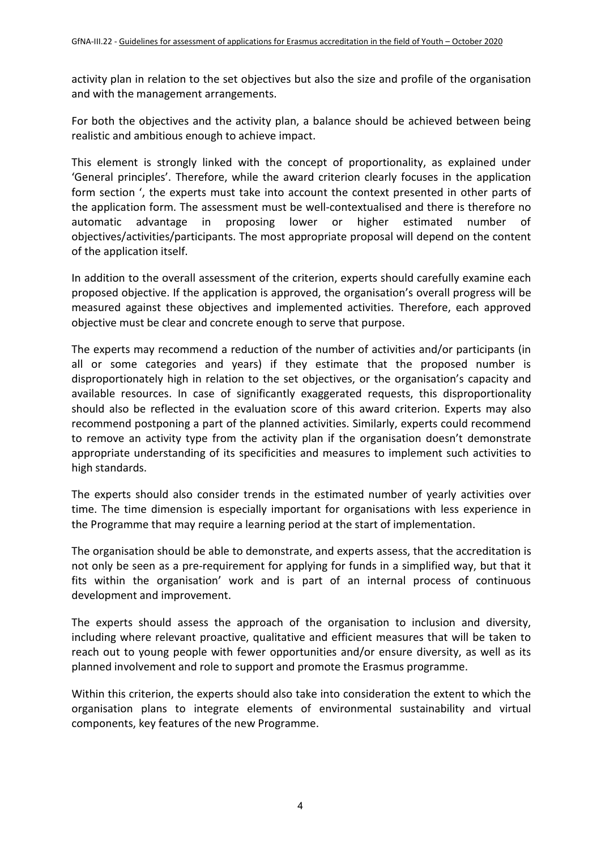activity plan in relation to the set objectives but also the size and profile of the organisation and with the management arrangements.

For both the objectives and the activity plan, a balance should be achieved between being realistic and ambitious enough to achieve impact.

This element is strongly linked with the concept of proportionality, as explained under 'General principles'. Therefore, while the award criterion clearly focuses in the application form section ', the experts must take into account the context presented in other parts of the application form. The assessment must be well-contextualised and there is therefore no automatic advantage in proposing lower or higher estimated number of objectives/activities/participants. The most appropriate proposal will depend on the content of the application itself.

In addition to the overall assessment of the criterion, experts should carefully examine each proposed objective. If the application is approved, the organisation's overall progress will be measured against these objectives and implemented activities. Therefore, each approved objective must be clear and concrete enough to serve that purpose.

The experts may recommend a reduction of the number of activities and/or participants (in all or some categories and years) if they estimate that the proposed number is disproportionately high in relation to the set objectives, or the organisation's capacity and available resources. In case of significantly exaggerated requests, this disproportionality should also be reflected in the evaluation score of this award criterion. Experts may also recommend postponing a part of the planned activities. Similarly, experts could recommend to remove an activity type from the activity plan if the organisation doesn't demonstrate appropriate understanding of its specificities and measures to implement such activities to high standards.

The experts should also consider trends in the estimated number of yearly activities over time. The time dimension is especially important for organisations with less experience in the Programme that may require a learning period at the start of implementation.

The organisation should be able to demonstrate, and experts assess, that the accreditation is not only be seen as a pre-requirement for applying for funds in a simplified way, but that it fits within the organisation' work and is part of an internal process of continuous development and improvement.

The experts should assess the approach of the organisation to inclusion and diversity, including where relevant proactive, qualitative and efficient measures that will be taken to reach out to young people with fewer opportunities and/or ensure diversity, as well as its planned involvement and role to support and promote the Erasmus programme.

Within this criterion, the experts should also take into consideration the extent to which the organisation plans to integrate elements of environmental sustainability and virtual components, key features of the new Programme.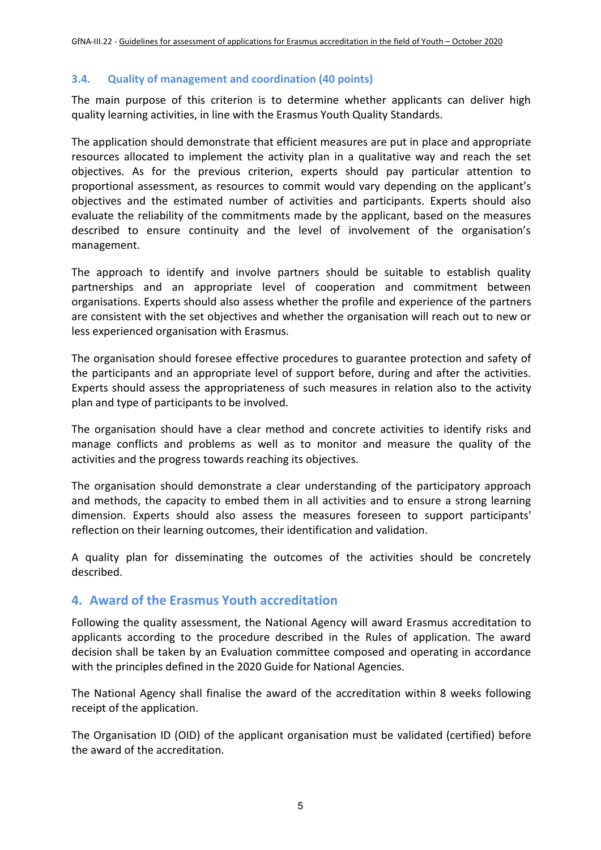#### **3.4. Quality of management and coordination (40 points)**

The main purpose of this criterion is to determine whether applicants can deliver high quality learning activities, in line with the Erasmus Youth Quality Standards.

The application should demonstrate that efficient measures are put in place and appropriate resources allocated to implement the activity plan in a qualitative way and reach the set objectives. As for the previous criterion, experts should pay particular attention to proportional assessment, as resources to commit would vary depending on the applicant's objectives and the estimated number of activities and participants. Experts should also evaluate the reliability of the commitments made by the applicant, based on the measures described to ensure continuity and the level of involvement of the organisation's management.

The approach to identify and involve partners should be suitable to establish quality partnerships and an appropriate level of cooperation and commitment between organisations. Experts should also assess whether the profile and experience of the partners are consistent with the set objectives and whether the organisation will reach out to new or less experienced organisation with Erasmus.

The organisation should foresee effective procedures to guarantee protection and safety of the participants and an appropriate level of support before, during and after the activities. Experts should assess the appropriateness of such measures in relation also to the activity plan and type of participants to be involved.

The organisation should have a clear method and concrete activities to identify risks and manage conflicts and problems as well as to monitor and measure the quality of the activities and the progress towards reaching its objectives.

The organisation should demonstrate a clear understanding of the participatory approach and methods, the capacity to embed them in all activities and to ensure a strong learning dimension. Experts should also assess the measures foreseen to support participants' reflection on their learning outcomes, their identification and validation.

A quality plan for disseminating the outcomes of the activities should be concretely described.

## **4. Award of the Erasmus Youth accreditation**

Following the quality assessment, the National Agency will award Erasmus accreditation to applicants according to the procedure described in the Rules of application. The award decision shall be taken by an Evaluation committee composed and operating in accordance with the principles defined in the 2020 Guide for National Agencies.

The National Agency shall finalise the award of the accreditation within 8 weeks following receipt of the application.

The Organisation ID (OID) of the applicant organisation must be validated (certified) before the award of the accreditation.